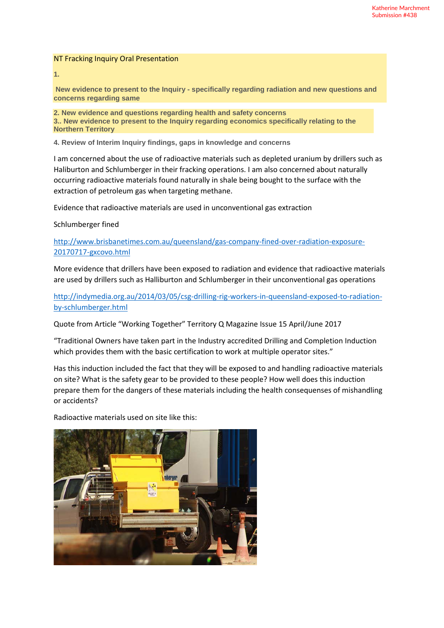## NT Fracking Inquiry Oral Presentation

**1.**

**New evidence to present to the Inquiry - specifically regarding radiation and new questions and concerns regarding same**

**2. New evidence and questions regarding health and safety concerns 3.. New evidence to present to the Inquiry regarding economics specifically relating to the Northern Territory**

**4. Review of Interim Inquiry findings, gaps in knowledge and concerns**

I am concerned about the use of radioactive materials such as depleted uranium by drillers such as Haliburton and Schlumberger in their fracking operations. I am also concerned about naturally occurring radioactive materials found naturally in shale being bought to the surface with the extraction of petroleum gas when targeting methane.

Evidence that radioactive materials are used in unconventional gas extraction

## Schlumberger fined

[http://www.brisbanetimes.com.au/queensland/gas-company-fined-over-radiation-exposure-](http://www.brisbanetimes.com.au/queensland/gas-company-fined-over-radiation-exposure-20170717-gxcovo.html)[20170717-gxcovo.html](http://www.brisbanetimes.com.au/queensland/gas-company-fined-over-radiation-exposure-20170717-gxcovo.html)

More evidence that drillers have been exposed to radiation and evidence that radioactive materials are used by drillers such as Halliburton and Schlumberger in their unconventional gas operations

[http://indymedia.org.au/2014/03/05/csg-drilling-rig-workers-in-queensland-exposed-to-radiation](http://indymedia.org.au/2014/03/05/csg-drilling-rig-workers-in-queensland-exposed-to-radiation-by-schlumberger.html)[by-schlumberger.html](http://indymedia.org.au/2014/03/05/csg-drilling-rig-workers-in-queensland-exposed-to-radiation-by-schlumberger.html)

Quote from Article "Working Together" Territory Q Magazine Issue 15 April/June 2017

"Traditional Owners have taken part in the Industry accredited Drilling and Completion Induction which provides them with the basic certification to work at multiple operator sites."

Has this induction included the fact that they will be exposed to and handling radioactive materials on site? What is the safety gear to be provided to these people? How well does this induction prepare them for the dangers of these materials including the health consequenses of mishandling or accidents?

Radioactive materials used on site like this:

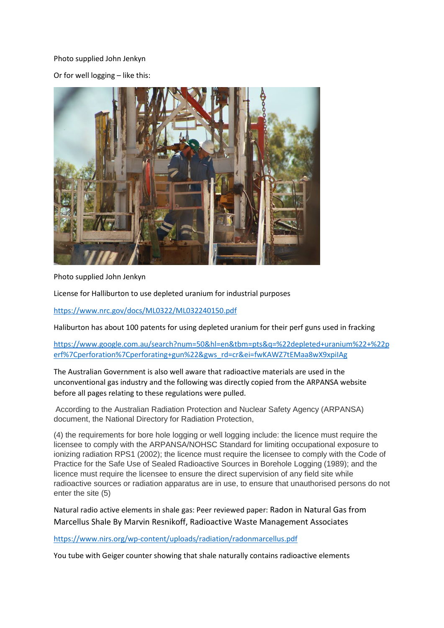# Photo supplied John Jenkyn

Or for well logging – like this:



Photo supplied John Jenkyn

License for Halliburton to use depleted uranium for industrial purposes

<https://www.nrc.gov/docs/ML0322/ML032240150.pdf>

Haliburton has about 100 patents for using depleted uranium for their perf guns used in fracking

[https://www.google.com.au/search?num=50&hl=en&tbm=pts&q=%22depleted+uranium%22+%22p](https://www.google.com.au/search?num=50&hl=en&tbm=pts&q=%22depleted+uranium%22+%22perf%7Cperforation%7Cperforating+gun%22&gws_rd=cr&ei=fwKAWZ7tEMaa8wX9xpiIAg) [erf%7Cperforation%7Cperforating+gun%22&gws\\_rd=cr&ei=fwKAWZ7tEMaa8wX9xpiIAg](https://www.google.com.au/search?num=50&hl=en&tbm=pts&q=%22depleted+uranium%22+%22perf%7Cperforation%7Cperforating+gun%22&gws_rd=cr&ei=fwKAWZ7tEMaa8wX9xpiIAg)

The Australian Government is also well aware that radioactive materials are used in the unconventional gas industry and the following was directly copied from the ARPANSA website before all pages relating to these regulations were pulled.

According to the Australian Radiation Protection and Nuclear Safety Agency (ARPANSA) document, the National Directory for Radiation Protection,

(4) the requirements for bore hole logging or well logging include: the licence must require the licensee to comply with the ARPANSA/NOHSC Standard for limiting occupational exposure to ionizing radiation RPS1 (2002); the licence must require the licensee to comply with the Code of Practice for the Safe Use of Sealed Radioactive Sources in Borehole Logging (1989); and the licence must require the licensee to ensure the direct supervision of any field site while radioactive sources or radiation apparatus are in use, to ensure that unauthorised persons do not enter the site (5)

Natural radio active elements in shale gas: Peer reviewed paper: Radon in Natural Gas from Marcellus Shale By Marvin Resnikoff, Radioactive Waste Management Associates

<https://www.nirs.org/wp-content/uploads/radiation/radonmarcellus.pdf>

You tube with Geiger counter showing that shale naturally contains radioactive elements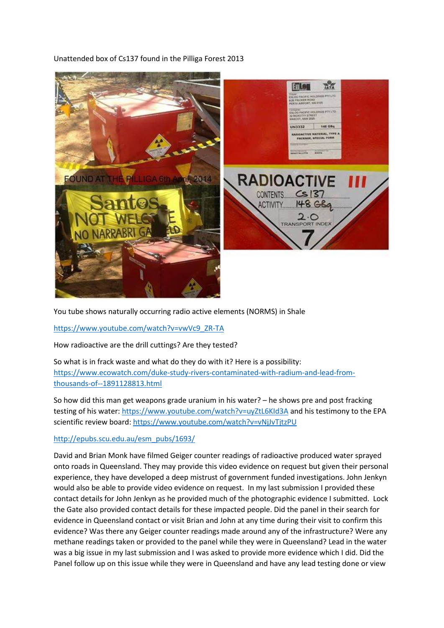# Unattended box of Cs137 found in the Pilliga Forest 2013



You tube shows naturally occurring radio active elements (NORMS) in Shale

[https://www.youtube.com/watch?v=vwVc9\\_ZR-TA](https://www.youtube.com/watch?v=vwVc9_ZR-TA)

How radioactive are the drill cuttings? Are they tested?

So what is in frack waste and what do they do with it? Here is a possibility: [https://www.ecowatch.com/duke-study-rivers-contaminated-with-radium-and-lead-from](https://www.ecowatch.com/duke-study-rivers-contaminated-with-radium-and-lead-from-thousands-of--1891128813.html)[thousands-of--1891128813.html](https://www.ecowatch.com/duke-study-rivers-contaminated-with-radium-and-lead-from-thousands-of--1891128813.html)

So how did this man get weapons grade uranium in his water? – he shows pre and post fracking testing of his water:<https://www.youtube.com/watch?v=uyZtL6KId3A> and his testimony to the EPA scientific review board[: https://www.youtube.com/watch?v=vNjJvTjtzPU](https://www.youtube.com/watch?v=vNjJvTjtzPU)

# [http://epubs.scu.edu.au/esm\\_pubs/1693/](http://epubs.scu.edu.au/esm_pubs/1693/)

David and Brian Monk have filmed Geiger counter readings of radioactive produced water sprayed onto roads in Queensland. They may provide this video evidence on request but given their personal experience, they have developed a deep mistrust of government funded investigations. John Jenkyn would also be able to provide video evidence on request. In my last submission I provided these contact details for John Jenkyn as he provided much of the photographic evidence I submitted. Lock the Gate also provided contact details for these impacted people. Did the panel in their search for evidence in Queensland contact or visit Brian and John at any time during their visit to confirm this evidence? Was there any Geiger counter readings made around any of the infrastructure? Were any methane readings taken or provided to the panel while they were in Queensland? Lead in the water was a big issue in my last submission and I was asked to provide more evidence which I did. Did the Panel follow up on this issue while they were in Queensland and have any lead testing done or view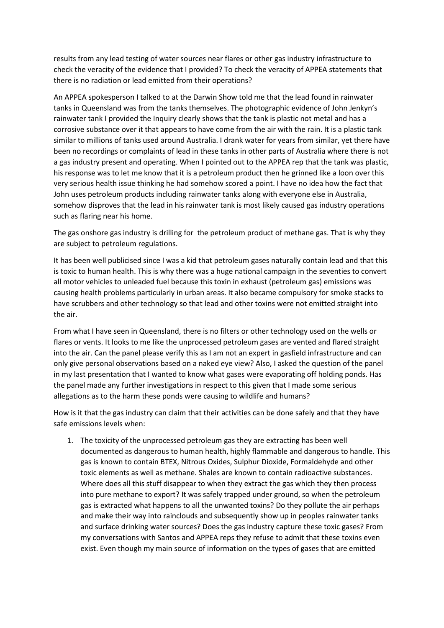results from any lead testing of water sources near flares or other gas industry infrastructure to check the veracity of the evidence that I provided? To check the veracity of APPEA statements that there is no radiation or lead emitted from their operations?

An APPEA spokesperson I talked to at the Darwin Show told me that the lead found in rainwater tanks in Queensland was from the tanks themselves. The photographic evidence of John Jenkyn's rainwater tank I provided the Inquiry clearly shows that the tank is plastic not metal and has a corrosive substance over it that appears to have come from the air with the rain. It is a plastic tank similar to millions of tanks used around Australia. I drank water for years from similar, yet there have been no recordings or complaints of lead in these tanks in other parts of Australia where there is not a gas industry present and operating. When I pointed out to the APPEA rep that the tank was plastic, his response was to let me know that it is a petroleum product then he grinned like a loon over this very serious health issue thinking he had somehow scored a point. I have no idea how the fact that John uses petroleum products including rainwater tanks along with everyone else in Australia, somehow disproves that the lead in his rainwater tank is most likely caused gas industry operations such as flaring near his home.

The gas onshore gas industry is drilling for the petroleum product of methane gas. That is why they are subject to petroleum regulations.

It has been well publicised since I was a kid that petroleum gases naturally contain lead and that this is toxic to human health. This is why there was a huge national campaign in the seventies to convert all motor vehicles to unleaded fuel because this toxin in exhaust (petroleum gas) emissions was causing health problems particularly in urban areas. It also became compulsory for smoke stacks to have scrubbers and other technology so that lead and other toxins were not emitted straight into the air.

From what I have seen in Queensland, there is no filters or other technology used on the wells or flares or vents. It looks to me like the unprocessed petroleum gases are vented and flared straight into the air. Can the panel please verify this as I am not an expert in gasfield infrastructure and can only give personal observations based on a naked eye view? Also, I asked the question of the panel in my last presentation that I wanted to know what gases were evaporating off holding ponds. Has the panel made any further investigations in respect to this given that I made some serious allegations as to the harm these ponds were causing to wildlife and humans?

How is it that the gas industry can claim that their activities can be done safely and that they have safe emissions levels when:

1. The toxicity of the unprocessed petroleum gas they are extracting has been well documented as dangerous to human health, highly flammable and dangerous to handle. This gas is known to contain BTEX, Nitrous Oxides, Sulphur Dioxide, Formaldehyde and other toxic elements as well as methane. Shales are known to contain radioactive substances. Where does all this stuff disappear to when they extract the gas which they then process into pure methane to export? It was safely trapped under ground, so when the petroleum gas is extracted what happens to all the unwanted toxins? Do they pollute the air perhaps and make their way into rainclouds and subsequently show up in peoples rainwater tanks and surface drinking water sources? Does the gas industry capture these toxic gases? From my conversations with Santos and APPEA reps they refuse to admit that these toxins even exist. Even though my main source of information on the types of gases that are emitted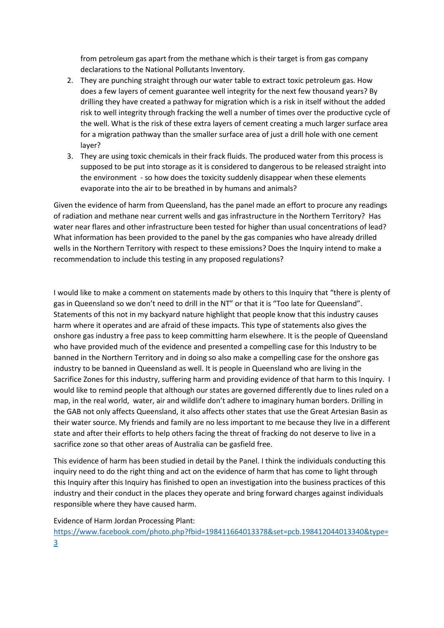from petroleum gas apart from the methane which is their target is from gas company declarations to the National Pollutants Inventory.

- 2. They are punching straight through our water table to extract toxic petroleum gas. How does a few layers of cement guarantee well integrity for the next few thousand years? By drilling they have created a pathway for migration which is a risk in itself without the added risk to well integrity through fracking the well a number of times over the productive cycle of the well. What is the risk of these extra layers of cement creating a much larger surface area for a migration pathway than the smaller surface area of just a drill hole with one cement layer?
- 3. They are using toxic chemicals in their frack fluids. The produced water from this process is supposed to be put into storage as it is considered to dangerous to be released straight into the environment - so how does the toxicity suddenly disappear when these elements evaporate into the air to be breathed in by humans and animals?

Given the evidence of harm from Queensland, has the panel made an effort to procure any readings of radiation and methane near current wells and gas infrastructure in the Northern Territory? Has water near flares and other infrastructure been tested for higher than usual concentrations of lead? What information has been provided to the panel by the gas companies who have already drilled wells in the Northern Territory with respect to these emissions? Does the Inquiry intend to make a recommendation to include this testing in any proposed regulations?

I would like to make a comment on statements made by others to this Inquiry that "there is plenty of gas in Queensland so we don't need to drill in the NT" or that it is "Too late for Queensland". Statements of this not in my backyard nature highlight that people know that this industry causes harm where it operates and are afraid of these impacts. This type of statements also gives the onshore gas industry a free pass to keep committing harm elsewhere. It is the people of Queensland who have provided much of the evidence and presented a compelling case for this Industry to be banned in the Northern Territory and in doing so also make a compelling case for the onshore gas industry to be banned in Queensland as well. It is people in Queensland who are living in the Sacrifice Zones for this industry, suffering harm and providing evidence of that harm to this Inquiry. I would like to remind people that although our states are governed differently due to lines ruled on a map, in the real world, water, air and wildlife don't adhere to imaginary human borders. Drilling in the GAB not only affects Queensland, it also affects other states that use the Great Artesian Basin as their water source. My friends and family are no less important to me because they live in a different state and after their efforts to help others facing the threat of fracking do not deserve to live in a sacrifice zone so that other areas of Australia can be gasfield free.

This evidence of harm has been studied in detail by the Panel. I think the individuals conducting this inquiry need to do the right thing and act on the evidence of harm that has come to light through this Inquiry after this Inquiry has finished to open an investigation into the business practices of this industry and their conduct in the places they operate and bring forward charges against individuals responsible where they have caused harm.

### Evidence of Harm Jordan Processing Plant:

[https://www.facebook.com/photo.php?fbid=198411664013378&set=pcb.198412044013340&type=](https://www.facebook.com/photo.php?fbid=198411664013378&set=pcb.198412044013340&type=3) [3](https://www.facebook.com/photo.php?fbid=198411664013378&set=pcb.198412044013340&type=3)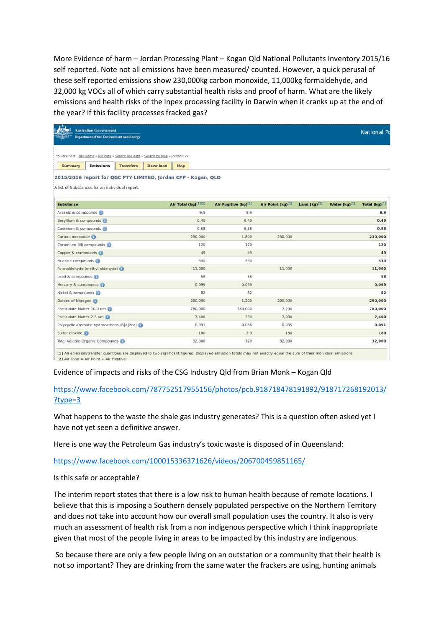More Evidence of harm – Jordan Processing Plant – Kogan Qld National Pollutants Inventory 2015/16 self reported. Note not all emissions have been measured/ counted. However, a quick perusal of these self reported emissions show 230,000kg carbon monoxide, 11,000kg formaldehyde, and 32,000 kg VOCs all of which carry substantial health risks and proof of harm. What are the likely emissions and health risks of the Inpex processing facility in Darwin when it cranks up at the end of the year? If this facility processes fracked gas?

| <b>Australian Government</b><br><b>Department of the Environment and Energy</b>                                 |                        |                      |                   |                   |               | <b>National Po</b> |
|-----------------------------------------------------------------------------------------------------------------|------------------------|----------------------|-------------------|-------------------|---------------|--------------------|
| You are here: NPI Home » NPI data » Search NPI data » Search by Map » Jordan CPP                                |                        |                      |                   |                   |               |                    |
| <b>Transfers</b><br><b>Summary</b><br><b>Emissions</b>                                                          | <b>Download</b><br>Map |                      |                   |                   |               |                    |
| 2015/2016 report for QGC PTY LIMITED, Jordan CPP - Kogan, QLD<br>A list of Substances for an individual report. |                        |                      |                   |                   |               |                    |
| <b>Substance</b>                                                                                                | Air Total (kg)[1][2]   | Air Fugitive (kg)[1] | Air Point (kg)[1] | Land $(kq)^{[1]}$ | Water (kg)[1] | Total $(kq)^{[1]}$ |
| Arsenic & compounds                                                                                             | 9.9                    | 9.9                  |                   |                   |               | 9.9                |
| Beryllium & compounds                                                                                           | 0.49                   | 0.49                 |                   |                   |               | 0.49               |
| Cadmium & compounds                                                                                             | 0.58                   | 0.58                 |                   |                   |               | 0.58               |
| Carbon monoxide (6)                                                                                             | 230,000                | 1,800                | 230,000           |                   |               | 230,000            |
| Chromium (III) compounds (1)                                                                                    | 120                    | 120                  |                   |                   |               | 120                |
| Copper & compounds                                                                                              | 49                     | 49                   |                   |                   |               | 49                 |
| Fluoride compounds                                                                                              | 330                    | 330                  |                   |                   |               | 330                |
| Formaldehyde (methyl aldehyde) (i)                                                                              | 11,000                 |                      | 11,000            |                   |               | 11,000             |
| Lead & compounds                                                                                                | 58                     | 58                   |                   |                   |               | 58                 |
| Mercury & compounds (i)                                                                                         | 0.099                  | 0.099                |                   |                   |               | 0.099              |
| Nickel & compounds                                                                                              | 82                     | 82                   |                   |                   |               | 82                 |
| Oxides of Nitrogen                                                                                              | 290,000                | 1,200                | 290,000           |                   |               | 290,000            |
| Particulate Matter 10.0 um (1)                                                                                  | 780,000                | 780,000              | 7,200             |                   |               | 780,000            |
| Particulate Matter 2.5 um                                                                                       | 7,400                  | 350                  | 7.000             |                   |               | 7,400              |
| Polycyclic aromatic hydrocarbons (B[a]Peq)                                                                      | 0.091                  | 0.056                | 0.035             |                   |               | 0.091              |
| Sulfur dioxide (ii)                                                                                             | 180                    | 2.9                  | 180               |                   |               | 180                |
| Total Volatile Organic Compounds                                                                                | 32,000                 | 720                  | 32,000            |                   |               | 32,000             |

[2] Air Total = Air Point + Air Fugitive

# Evidence of impacts and risks of the CSG Industry Qld from Brian Monk – Kogan Qld

# [https://www.facebook.com/787752517955156/photos/pcb.918718478191892/918717268192013/](https://www.facebook.com/787752517955156/photos/pcb.918718478191892/918717268192013/?type=3) [?type=3](https://www.facebook.com/787752517955156/photos/pcb.918718478191892/918717268192013/?type=3)

What happens to the waste the shale gas industry generates? This is a question often asked yet I have not yet seen a definitive answer.

Here is one way the Petroleum Gas industry's toxic waste is disposed of in Queensland:

<https://www.facebook.com/100015336371626/videos/206700459851165/>

Is this safe or acceptable?

The interim report states that there is a low risk to human health because of remote locations. I believe that this is imposing a Southern densely populated perspective on the Northern Territory and does not take into account how our overall small population uses the country. It also is very much an assessment of health risk from a non indigenous perspective which I think inappropriate given that most of the people living in areas to be impacted by this industry are indigenous.

So because there are only a few people living on an outstation or a community that their health is not so important? They are drinking from the same water the frackers are using, hunting animals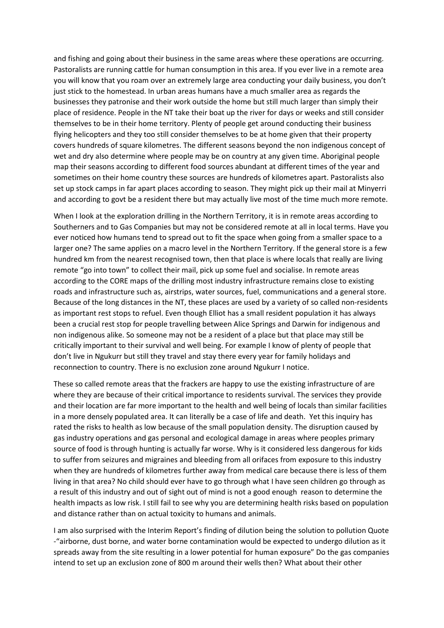and fishing and going about their business in the same areas where these operations are occurring. Pastoralists are running cattle for human consumption in this area. If you ever live in a remote area you will know that you roam over an extremely large area conducting your daily business, you don't just stick to the homestead. In urban areas humans have a much smaller area as regards the businesses they patronise and their work outside the home but still much larger than simply their place of residence. People in the NT take their boat up the river for days or weeks and still consider themselves to be in their home territory. Plenty of people get around conducting their business flying helicopters and they too still consider themselves to be at home given that their property covers hundreds of square kilometres. The different seasons beyond the non indigenous concept of wet and dry also determine where people may be on country at any given time. Aboriginal people map their seasons according to different food sources abundant at different times of the year and sometimes on their home country these sources are hundreds of kilometres apart. Pastoralists also set up stock camps in far apart places according to season. They might pick up their mail at Minyerri and according to govt be a resident there but may actually live most of the time much more remote.

When I look at the exploration drilling in the Northern Territory, it is in remote areas according to Southerners and to Gas Companies but may not be considered remote at all in local terms. Have you ever noticed how humans tend to spread out to fit the space when going from a smaller space to a larger one? The same applies on a macro level in the Northern Territory. If the general store is a few hundred km from the nearest recognised town, then that place is where locals that really are living remote "go into town" to collect their mail, pick up some fuel and socialise. In remote areas according to the CORE maps of the drilling most industry infrastructure remains close to existing roads and infrastructure such as, airstrips, water sources, fuel, communications and a general store. Because of the long distances in the NT, these places are used by a variety of so called non-residents as important rest stops to refuel. Even though Elliot has a small resident population it has always been a crucial rest stop for people travelling between Alice Springs and Darwin for indigenous and non indigenous alike. So someone may not be a resident of a place but that place may still be critically important to their survival and well being. For example I know of plenty of people that don't live in Ngukurr but still they travel and stay there every year for family holidays and reconnection to country. There is no exclusion zone around Ngukurr I notice.

These so called remote areas that the frackers are happy to use the existing infrastructure of are where they are because of their critical importance to residents survival. The services they provide and their location are far more important to the health and well being of locals than similar facilities in a more densely populated area. It can literally be a case of life and death. Yet this inquiry has rated the risks to health as low because of the small population density. The disruption caused by gas industry operations and gas personal and ecological damage in areas where peoples primary source of food is through hunting is actually far worse. Why is it considered less dangerous for kids to suffer from seizures and migraines and bleeding from all orifaces from exposure to this industry when they are hundreds of kilometres further away from medical care because there is less of them living in that area? No child should ever have to go through what I have seen children go through as a result of this industry and out of sight out of mind is not a good enough reason to determine the health impacts as low risk. I still fail to see why you are determining health risks based on population and distance rather than on actual toxicity to humans and animals.

I am also surprised with the Interim Report's finding of dilution being the solution to pollution Quote -"airborne, dust borne, and water borne contamination would be expected to undergo dilution as it spreads away from the site resulting in a lower potential for human exposure" Do the gas companies intend to set up an exclusion zone of 800 m around their wells then? What about their other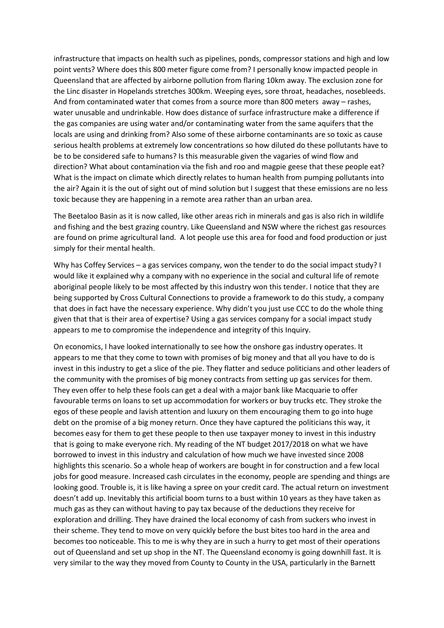infrastructure that impacts on health such as pipelines, ponds, compressor stations and high and low point vents? Where does this 800 meter figure come from? I personally know impacted people in Queensland that are affected by airborne pollution from flaring 10km away. The exclusion zone for the Linc disaster in Hopelands stretches 300km. Weeping eyes, sore throat, headaches, nosebleeds. And from contaminated water that comes from a source more than 800 meters away – rashes, water unusable and undrinkable. How does distance of surface infrastructure make a difference if the gas companies are using water and/or contaminating water from the same aquifers that the locals are using and drinking from? Also some of these airborne contaminants are so toxic as cause serious health problems at extremely low concentrations so how diluted do these pollutants have to be to be considered safe to humans? Is this measurable given the vagaries of wind flow and direction? What about contamination via the fish and roo and magpie geese that these people eat? What is the impact on climate which directly relates to human health from pumping pollutants into the air? Again it is the out of sight out of mind solution but I suggest that these emissions are no less toxic because they are happening in a remote area rather than an urban area.

The Beetaloo Basin as it is now called, like other areas rich in minerals and gas is also rich in wildlife and fishing and the best grazing country. Like Queensland and NSW where the richest gas resources are found on prime agricultural land. A lot people use this area for food and food production or just simply for their mental health.

Why has Coffey Services – a gas services company, won the tender to do the social impact study? I would like it explained why a company with no experience in the social and cultural life of remote aboriginal people likely to be most affected by this industry won this tender. I notice that they are being supported by Cross Cultural Connections to provide a framework to do this study, a company that does in fact have the necessary experience. Why didn't you just use CCC to do the whole thing given that that is their area of expertise? Using a gas services company for a social impact study appears to me to compromise the independence and integrity of this Inquiry.

On economics, I have looked internationally to see how the onshore gas industry operates. It appears to me that they come to town with promises of big money and that all you have to do is invest in this industry to get a slice of the pie. They flatter and seduce politicians and other leaders of the community with the promises of big money contracts from setting up gas services for them. They even offer to help these fools can get a deal with a major bank like Macquarie to offer favourable terms on loans to set up accommodation for workers or buy trucks etc. They stroke the egos of these people and lavish attention and luxury on them encouraging them to go into huge debt on the promise of a big money return. Once they have captured the politicians this way, it becomes easy for them to get these people to then use taxpayer money to invest in this industry that is going to make everyone rich. My reading of the NT budget 2017/2018 on what we have borrowed to invest in this industry and calculation of how much we have invested since 2008 highlights this scenario. So a whole heap of workers are bought in for construction and a few local jobs for good measure. Increased cash circulates in the economy, people are spending and things are looking good. Trouble is, it is like having a spree on your credit card. The actual return on investment doesn't add up. Inevitably this artificial boom turns to a bust within 10 years as they have taken as much gas as they can without having to pay tax because of the deductions they receive for exploration and drilling. They have drained the local economy of cash from suckers who invest in their scheme. They tend to move on very quickly before the bust bites too hard in the area and becomes too noticeable. This to me is why they are in such a hurry to get most of their operations out of Queensland and set up shop in the NT. The Queensland economy is going downhill fast. It is very similar to the way they moved from County to County in the USA, particularly in the Barnett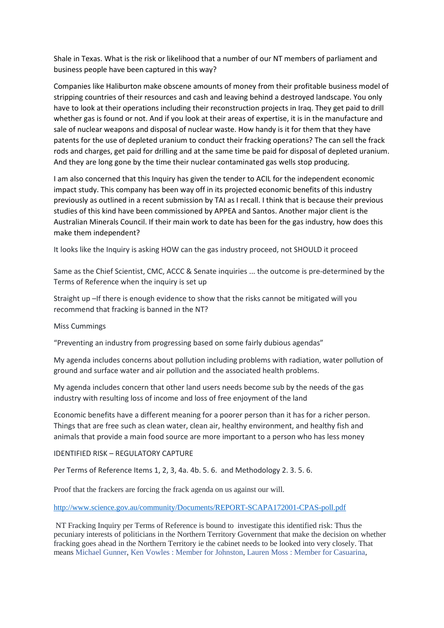Shale in Texas. What is the risk or likelihood that a number of our NT members of parliament and business people have been captured in this way?

Companies like Haliburton make obscene amounts of money from their profitable business model of stripping countries of their resources and cash and leaving behind a destroyed landscape. You only have to look at their operations including their reconstruction projects in Iraq. They get paid to drill whether gas is found or not. And if you look at their areas of expertise, it is in the manufacture and sale of nuclear weapons and disposal of nuclear waste. How handy is it for them that they have patents for the use of depleted uranium to conduct their fracking operations? The can sell the frack rods and charges, get paid for drilling and at the same time be paid for disposal of depleted uranium. And they are long gone by the time their nuclear contaminated gas wells stop producing.

I am also concerned that this Inquiry has given the tender to ACIL for the independent economic impact study. This company has been way off in its projected economic benefits of this industry previously as outlined in a recent submission by TAI as I recall. I think that is because their previous studies of this kind have been commissioned by APPEA and Santos. Another major client is the Australian Minerals Council. If their main work to date has been for the gas industry, how does this make them independent?

It looks like the Inquiry is asking HOW can the gas industry proceed, not SHOULD it proceed

Same as the Chief Scientist, CMC, ACCC & Senate inquiries ... the outcome is pre-determined by the Terms of Reference when the inquiry is set up

Straight up –If there is enough evidence to show that the risks cannot be mitigated will you recommend that fracking is banned in the NT?

#### Miss Cummings

"Preventing an industry from progressing based on some fairly dubious agendas"

My agenda includes concerns about pollution including problems with radiation, water pollution of ground and surface water and air pollution and the associated health problems.

My agenda includes concern that other land users needs become sub by the needs of the gas industry with resulting loss of income and loss of free enjoyment of the land

Economic benefits have a different meaning for a poorer person than it has for a richer person. Things that are free such as clean water, clean air, healthy environment, and healthy fish and animals that provide a main food source are more important to a person who has less money

## IDENTIFIED RISK – REGULATORY CAPTURE

Per Terms of Reference Items 1, 2, 3, 4a. 4b. 5. 6. and Methodology 2. 3. 5. 6.

Proof that the frackers are forcing the frack agenda on us against our will.

#### <http://www.science.gov.au/community/Documents/REPORT-SCAPA172001-CPAS-poll.pdf>

NT Fracking Inquiry per Terms of Reference is bound to investigate this identified risk: Thus the pecuniary interests of politicians in the Northern Territory Government that make the decision on whether fracking goes ahead in the Northern Territory ie the cabinet needs to be looked into very closely. That means [Michael Gunner,](https://www.facebook.com/FannieBay/?fref=mentions) [Ken Vowles : Member for Johnston,](https://www.facebook.com/KenVowlesJohnston/?fref=mentions) [Lauren Moss : Member for Casuarina,](https://www.facebook.com/moss4casuarina/?fref=mentions)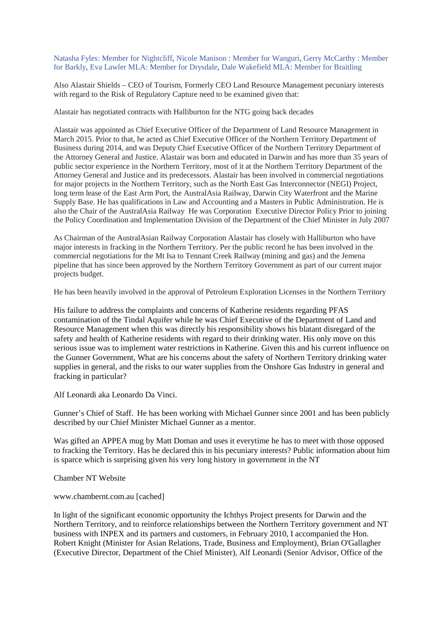[Natasha Fyles: Member for Nightcliff,](https://www.facebook.com/NatashaFylesForNightcliff/?fref=mentions) [Nicole Manison : Member for Wanguri,](https://www.facebook.com/Manison4Wanguri/?fref=mentions) [Gerry McCarthy : Member](https://www.facebook.com/Gerry4Barkly/?fref=mentions)  [for Barkly,](https://www.facebook.com/Gerry4Barkly/?fref=mentions) [Eva Lawler MLA: Member for Drysdale,](https://www.facebook.com/lawler4drysdale/?fref=mentions) [Dale Wakefield MLA: Member for Braitling](https://www.facebook.com/dale4braitling/?fref=mentions)

Also Alastair Shields – CEO of Tourism, Formerly CEO Land Resource Management pecuniary interests with regard to the Risk of Regulatory Capture need to be examined given that:

Alastair has negotiated contracts with Halliburton for the NTG going back decades

Alastair was appointed as Chief Executive Officer of the Department of Land Resource Management in March 2015. Prior to that, he acted as Chief Executive Officer of the Northern Territory Department of Business during 2014, and was Deputy Chief Executive Officer of the Northern Territory Department of the Attorney General and Justice. Alastair was born and educated in Darwin and has more than 35 years of public sector experience in the Northern Territory, most of it at the Northern Territory Department of the Attorney General and Justice and its predecessors. Alastair has been involved in commercial negotiations for major projects in the Northern Territory, such as the North East Gas Interconnector (NEGI) Project, long term lease of the East Arm Port, the AustralAsia Railway, Darwin City Waterfront and the Marine Supply Base. He has qualifications in Law and Accounting and a Masters in Public Administration. He is also the Chair of the AustralAsia Railway He was Corporation Executive Director Policy Prior to joining the Policy Coordination and Implementation Division of the Department of the Chief Minister in July 2007

As Chairman of the AustralAsian Railway Corporation Alastair has closely with Halliburton who have major interests in fracking in the Northern Territory. Per the public record he has been involved in the commercial negotiations for the Mt Isa to Tennant Creek Railway (mining and gas) and the Jemena pipeline that has since been approved by the Northern Territory Government as part of our current major projects budget.

He has been heavily involved in the approval of Petroleum Exploration Licenses in the Northern Territory

His failure to address the complaints and concerns of Katherine residents regarding PFAS contamination of the Tindal Aquifer while he was Chief Executive of the Department of Land and Resource Management when this was directly his responsibility shows his blatant disregard of the safety and health of Katherine residents with regard to their drinking water. His only move on this serious issue was to implement water restrictions in Katherine. Given this and his current influence on the Gunner Government, What are his concerns about the safety of Northern Territory drinking water supplies in general, and the risks to our water supplies from the Onshore Gas Industry in general and fracking in particular?

Alf Leonardi aka Leonardo Da Vinci.

Gunner's Chief of Staff. He has been working with Michael Gunner since 2001 and has been publicly described by our Chief Minister Michael Gunner as a mentor.

Was gifted an APPEA mug by Matt Doman and uses it everytime he has to meet with those opposed to fracking the Territory. Has he declared this in his pecuniary interests? Public information about him is sparce which is surprising given his very long history in government in the NT

Chamber NT Website

www.chambernt.com.au [cached]

In light of the significant economic opportunity the Ichthys Project presents for Darwin and the Northern Territory, and to reinforce relationships between the Northern Territory government and NT business with INPEX and its partners and customers, in February 2010, I accompanied the Hon. Robert Knight (Minister for Asian Relations, Trade, Business and Employment), Brian O'Gallagher (Executive Director, Department of the Chief Minister), Alf Leonardi (Senior Advisor, Office of the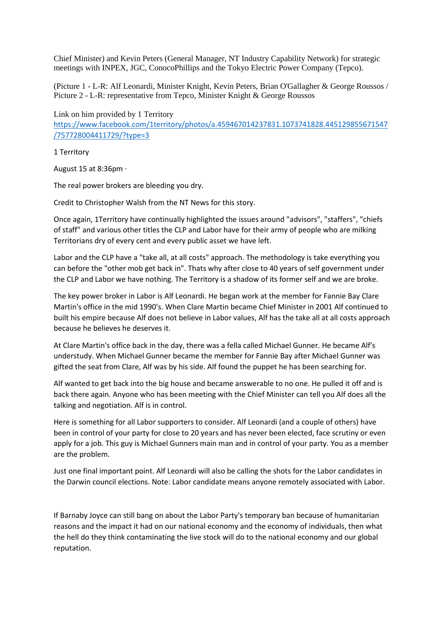Chief Minister) and Kevin Peters (General Manager, NT Industry Capability Network) for strategic meetings with INPEX, JGC, ConocoPhillips and the Tokyo Electric Power Company (Tepco).

(Picture 1 - L-R: Alf Leonardi, Minister Knight, Kevin Peters, Brian O'Gallagher & George Roussos / Picture 2 - L-R: representative from Tepco, Minister Knight & George Roussos

Link on him provided by 1 Territory [https://www.facebook.com/1territory/photos/a.459467014237831.1073741828.445129855671547](https://www.facebook.com/1territory/photos/a.459467014237831.1073741828.445129855671547/757728004411729/?type=3) [/757728004411729/?type=3](https://www.facebook.com/1territory/photos/a.459467014237831.1073741828.445129855671547/757728004411729/?type=3)

1 Territory

August 15 at 8:36pm ·

The real power brokers are bleeding you dry.

Credit to Christopher Walsh from the NT News for this story.

Once again, 1Territory have continually highlighted the issues around "advisors", "staffers", "chiefs of staff" and various other titles the CLP and Labor have for their army of people who are milking Territorians dry of every cent and every public asset we have left.

Labor and the CLP have a "take all, at all costs" approach. The methodology is take everything you can before the "other mob get back in". Thats why after close to 40 years of self government under the CLP and Labor we have nothing. The Territory is a shadow of its former self and we are broke.

The key power broker in Labor is Alf Leonardi. He began work at the member for Fannie Bay Clare Martin's office in the mid 1990's. When Clare Martin became Chief Minister in 2001 Alf continued to built his empire because Alf does not believe in Labor values, Alf has the take all at all costs approach because he believes he deserves it.

At Clare Martin's office back in the day, there was a fella called Michael Gunner. He became Alf's understudy. When Michael Gunner became the member for Fannie Bay after Michael Gunner was gifted the seat from Clare, Alf was by his side. Alf found the puppet he has been searching for.

Alf wanted to get back into the big house and became answerable to no one. He pulled it off and is back there again. Anyone who has been meeting with the Chief Minister can tell you Alf does all the talking and negotiation. Alf is in control.

Here is something for all Labor supporters to consider. Alf Leonardi (and a couple of others) have been in control of your party for close to 20 years and has never been elected, face scrutiny or even apply for a job. This guy is Michael Gunners main man and in control of your party. You as a member are the problem.

Just one final important point. Alf Leonardi will also be calling the shots for the Labor candidates in the Darwin council elections. Note: Labor candidate means anyone remotely associated with Labor.

If Barnaby Joyce can still bang on about the Labor Party's temporary ban because of humanitarian reasons and the impact it had on our national economy and the economy of individuals, then what the hell do they think contaminating the live stock will do to the national economy and our global reputation.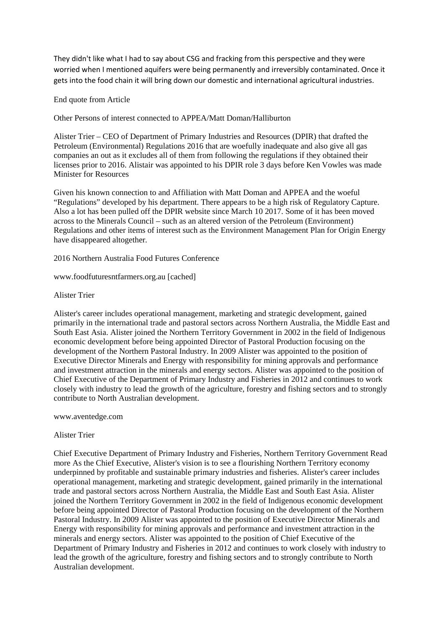They didn't like what I had to say about CSG and fracking from this perspective and they were worried when I mentioned aquifers were being permanently and irreversibly contaminated. Once it gets into the food chain it will bring down our domestic and international agricultural industries.

## End quote from Article

Other Persons of interest connected to APPEA/Matt Doman/Halliburton

Alister Trier – CEO of Department of Primary Industries and Resources (DPIR) that drafted the Petroleum (Environmental) Regulations 2016 that are woefully inadequate and also give all gas companies an out as it excludes all of them from following the regulations if they obtained their licenses prior to 2016. Alistair was appointed to his DPIR role 3 days before Ken Vowles was made Minister for Resources

Given his known connection to and Affiliation with Matt Doman and APPEA and the woeful "Regulations" developed by his department. There appears to be a high risk of Regulatory Capture. Also a lot has been pulled off the DPIR website since March 10 2017. Some of it has been moved across to the Minerals Council – such as an altered version of the Petroleum (Environment) Regulations and other items of interest such as the Environment Management Plan for Origin Energy have disappeared altogether.

2016 Northern Australia Food Futures Conference

www.foodfuturesntfarmers.org.au [cached]

## Alister Trier

Alister's career includes operational management, marketing and strategic development, gained primarily in the international trade and pastoral sectors across Northern Australia, the Middle East and South East Asia. Alister joined the Northern Territory Government in 2002 in the field of Indigenous economic development before being appointed Director of Pastoral Production focusing on the development of the Northern Pastoral Industry. In 2009 Alister was appointed to the position of Executive Director Minerals and Energy with responsibility for mining approvals and performance and investment attraction in the minerals and energy sectors. Alister was appointed to the position of Chief Executive of the Department of Primary Industry and Fisheries in 2012 and continues to work closely with industry to lead the growth of the agriculture, forestry and fishing sectors and to strongly contribute to North Australian development.

www.aventedge.com

#### Alister Trier

Chief Executive Department of Primary Industry and Fisheries, Northern Territory Government Read more As the Chief Executive, Alister's vision is to see a flourishing Northern Territory economy underpinned by profitable and sustainable primary industries and fisheries. Alister's career includes operational management, marketing and strategic development, gained primarily in the international trade and pastoral sectors across Northern Australia, the Middle East and South East Asia. Alister joined the Northern Territory Government in 2002 in the field of Indigenous economic development before being appointed Director of Pastoral Production focusing on the development of the Northern Pastoral Industry. In 2009 Alister was appointed to the position of Executive Director Minerals and Energy with responsibility for mining approvals and performance and investment attraction in the minerals and energy sectors. Alister was appointed to the position of Chief Executive of the Department of Primary Industry and Fisheries in 2012 and continues to work closely with industry to lead the growth of the agriculture, forestry and fishing sectors and to strongly contribute to North Australian development.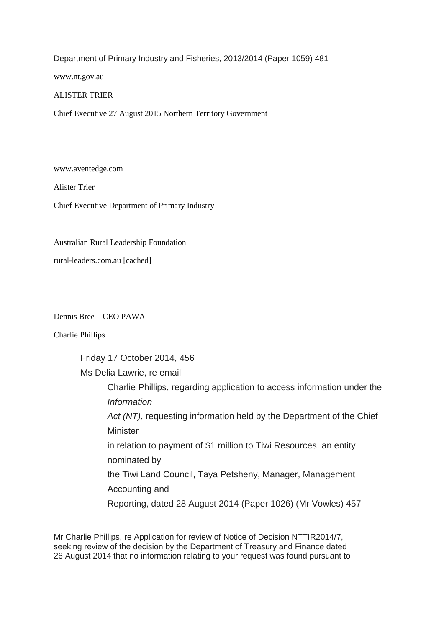Department of Primary Industry and Fisheries, 2013/2014 (Paper 1059) 481

www.nt.gov.au

# ALISTER TRIER

Chief Executive 27 August 2015 Northern Territory Government

www.aventedge.com

Alister Trier

Chief Executive Department of Primary Industry

Australian Rural Leadership Foundation

rural-leaders.com.au [cached]

Dennis Bree – CEO PAWA

Charlie Phillips

Friday 17 October 2014, 456

Ms Delia Lawrie, re email

Charlie Phillips, regarding application to access information under the *Information Act (NT)*, requesting information held by the Department of the Chief **Minister** in relation to payment of \$1 million to Tiwi Resources, an entity nominated by the Tiwi Land Council, Taya Petsheny, Manager, Management Accounting and

Reporting, dated 28 August 2014 (Paper 1026) (Mr Vowles) 457

Mr Charlie Phillips, re Application for review of Notice of Decision NTTIR2014/7, seeking review of the decision by the Department of Treasury and Finance dated 26 August 2014 that no information relating to your request was found pursuant to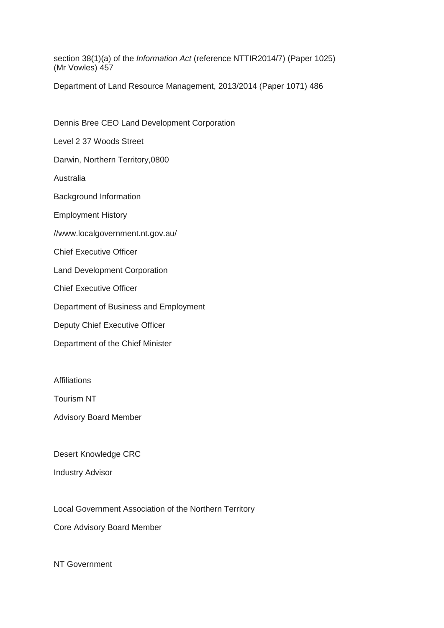section 38(1)(a) of the *Information Act* (reference NTTIR2014/7) (Paper 1025) (Mr Vowles) 457

Department of Land Resource Management, 2013/2014 (Paper 1071) 486

Dennis Bree CEO Land Development Corporation

Level 2 37 Woods Street

Darwin, Northern Territory,0800

Australia

Background Information

Employment History

//www.localgovernment.nt.gov.au/

Chief Executive Officer

Land Development Corporation

Chief Executive Officer

Department of Business and Employment

Deputy Chief Executive Officer

Department of the Chief Minister

Affiliations

Tourism NT

Advisory Board Member

Desert Knowledge CRC

Industry Advisor

Local Government Association of the Northern Territory

Core Advisory Board Member

NT Government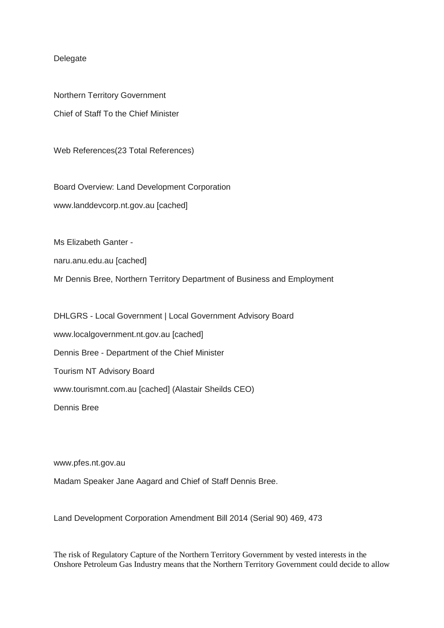# Delegate

Northern Territory Government Chief of Staff To the Chief Minister

Web References(23 Total References)

Board Overview: Land Development Corporation www.landdevcorp.nt.gov.au [cached]

Ms Elizabeth Ganter -

naru.anu.edu.au [cached]

Mr Dennis Bree, Northern Territory Department of Business and Employment

DHLGRS - Local Government | Local Government Advisory Board www.localgovernment.nt.gov.au [cached] Dennis Bree - Department of the Chief Minister Tourism NT Advisory Board www.tourismnt.com.au [cached] (Alastair Sheilds CEO) Dennis Bree

www.pfes.nt.gov.au

Madam Speaker Jane Aagard and Chief of Staff Dennis Bree.

Land Development Corporation Amendment Bill 2014 (Serial 90) 469, 473

The risk of Regulatory Capture of the Northern Territory Government by vested interests in the Onshore Petroleum Gas Industry means that the Northern Territory Government could decide to allow